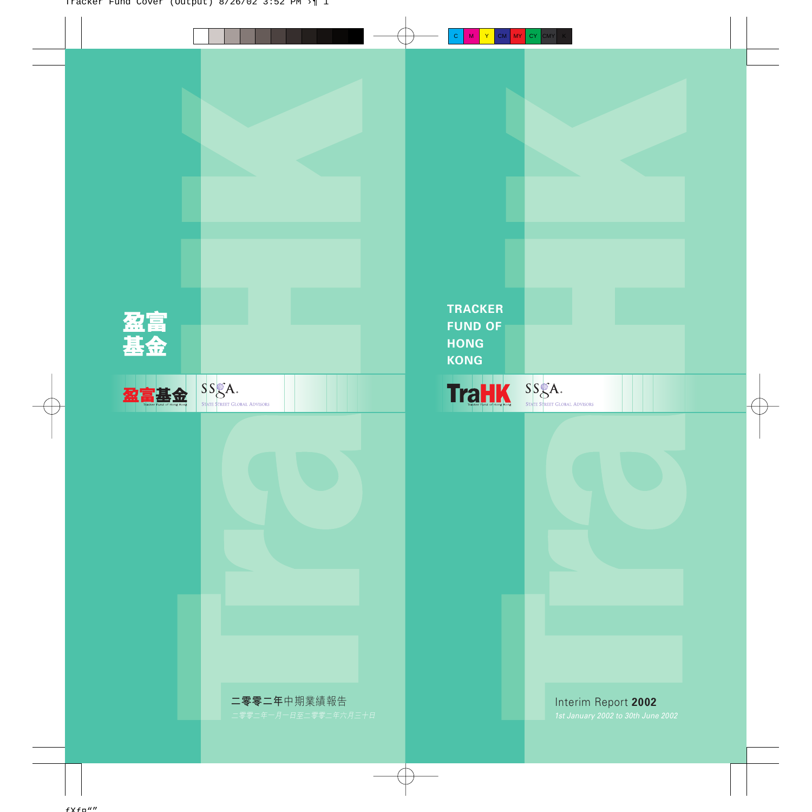

Interim Report **2002**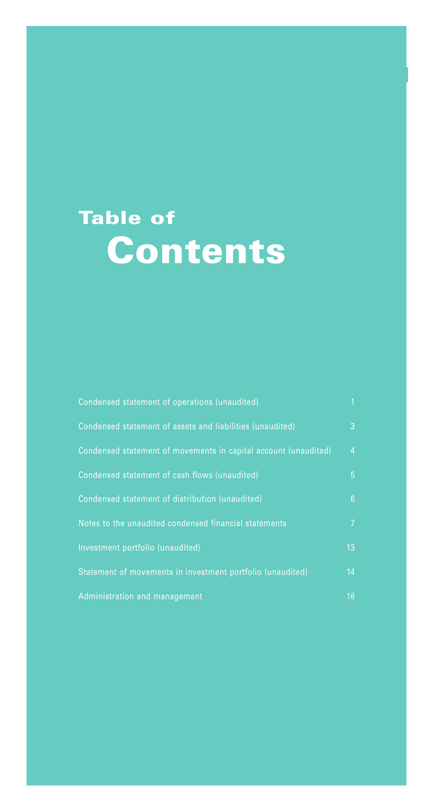# **Table of Contents**

| Condensed statement of operations (unaudited)                   | $\mathbf{1}$    |
|-----------------------------------------------------------------|-----------------|
| Condensed statement of assets and liabilities (unaudited)       | 3               |
| Condensed statement of movements in capital account (unaudited) | $\overline{4}$  |
| Condensed statement of cash flows (unaudited)                   | 5               |
| Condensed statement of distribution (unaudited)                 | $6\phantom{1}6$ |
| Notes to the unaudited condensed financial statements           | $\overline{7}$  |
| Investment portfolio (unaudited)                                | 13              |
| Statement of movements in investment portfolio (unaudited)      | 14              |
| Administration and management                                   | 16              |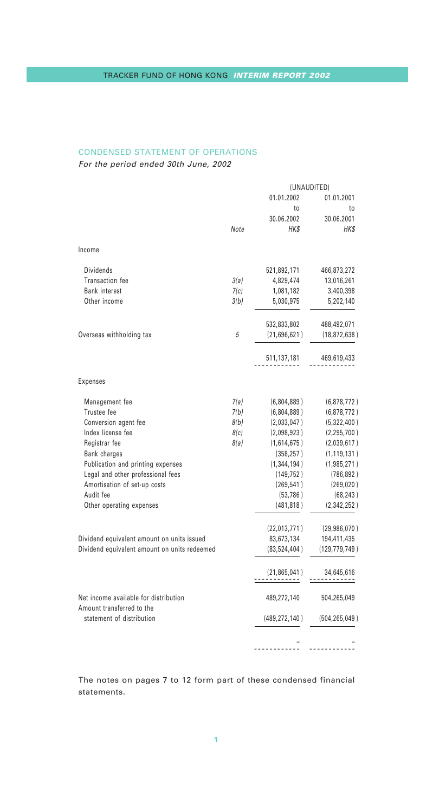# CONDENSED STATEMENT OF OPERATIONS

For the period ended 30th June, 2002

|                                                                    |      | (UNAUDITED)         |                 |
|--------------------------------------------------------------------|------|---------------------|-----------------|
|                                                                    |      | 01.01.2002          | 01.01.2001      |
|                                                                    |      | to                  | to              |
|                                                                    |      | 30.06.2002          | 30.06.2001      |
|                                                                    | Note | HK\$                | HK\$            |
| Income                                                             |      |                     |                 |
| <b>Dividends</b>                                                   |      | 521,892,171         | 466,873,272     |
| Transaction fee                                                    | 3(a) | 4,829,474           | 13,016,261      |
| <b>Bank interest</b>                                               | 7(c) | 1,081,182           | 3,400,398       |
| Other income                                                       | 3(b) | 5,030,975           | 5,202,140       |
|                                                                    |      | 532,833,802         | 488,492,071     |
| Overseas withholding tax                                           | 5    | (21,696,621)        | (18, 872, 638)  |
|                                                                    |      | 511,137,181         | 469,619,433     |
| <b>Expenses</b>                                                    |      |                     |                 |
| Management fee                                                     | 7(a) | (6,804,889)         | (6,878,772)     |
| Trustee fee                                                        | 7(b) | (6,804,889)         | (6,878,772)     |
| Conversion agent fee                                               | 8(b) | (2,033,047)         | (5,322,400)     |
| Index license fee                                                  | 8(c) | (2,098,923)         | (2, 295, 700)   |
| Registrar fee                                                      | 8(a) | (1,614,675)         | (2,039,617)     |
| Bank charges                                                       |      | (358, 257)          | (1, 119, 131)   |
| Publication and printing expenses                                  |      | (1,344,194)         | (1,985,271)     |
| Legal and other professional fees                                  |      | (149, 752)          | (786, 892)      |
| Amortisation of set-up costs                                       |      | (269, 541)          | (269, 020)      |
| Audit fee                                                          |      | (53, 786)           | (68, 243)       |
| Other operating expenses                                           |      | (481, 818)          | (2,342,252)     |
|                                                                    |      | (22,013,771)        | (29, 986, 070)  |
| Dividend equivalent amount on units issued                         |      | 83,673,134          | 194,411,435     |
| Dividend equivalent amount on units redeemed                       |      | (83, 524, 404)      | (129,779,749)   |
|                                                                    |      | (21, 865, 041)<br>. | 34,645,616      |
| Net income available for distribution<br>Amount transferred to the |      | 489,272,140         | 504,265,049     |
| statement of distribution                                          |      | (489, 272, 140)     | (504, 265, 049) |
|                                                                    |      |                     |                 |
|                                                                    |      |                     |                 |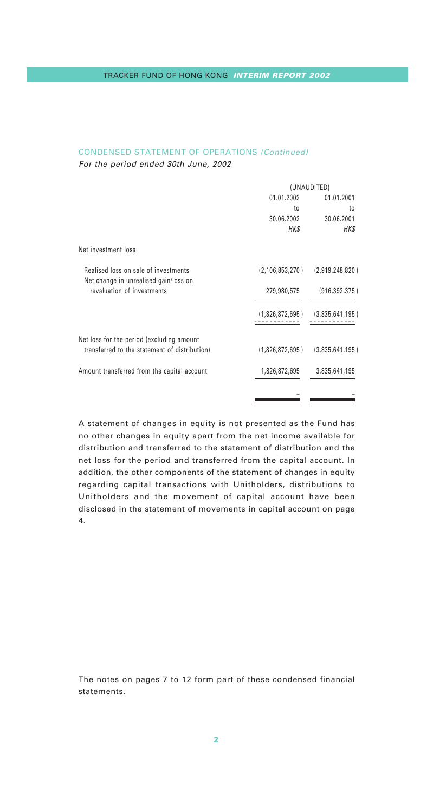# CONDENSED STATEMENT OF OPERATIONS (Continued)

For the period ended 30th June, 2002

|                                                                               | (UNAUDITED)        |                 |
|-------------------------------------------------------------------------------|--------------------|-----------------|
|                                                                               | 01.01.2002         | 01.01.2001      |
|                                                                               | to                 | to              |
|                                                                               | 30.06.2002         | 30.06.2001      |
|                                                                               | HK\$               | HK\$            |
| Net investment loss                                                           |                    |                 |
| Realised loss on sale of investments<br>Net change in unrealised gain/loss on | (2, 106, 853, 270) | (2,919,248,820) |
| revaluation of investments                                                    | 279,980,575        | (916, 392, 375) |
|                                                                               | (1,826,872,695)    | (3,835,641,195) |
| Net loss for the period (excluding amount                                     |                    |                 |
| transferred to the statement of distribution)                                 | (1,826,872,695)    | (3,835,641,195) |
| Amount transferred from the capital account                                   | 1,826,872,695      | 3,835,641,195   |
|                                                                               |                    |                 |
|                                                                               |                    |                 |

A statement of changes in equity is not presented as the Fund has no other changes in equity apart from the net income available for distribution and transferred to the statement of distribution and the net loss for the period and transferred from the capital account. In addition, the other components of the statement of changes in equity regarding capital transactions with Unitholders, distributions to Unitholders and the movement of capital account have been disclosed in the statement of movements in capital account on page 4.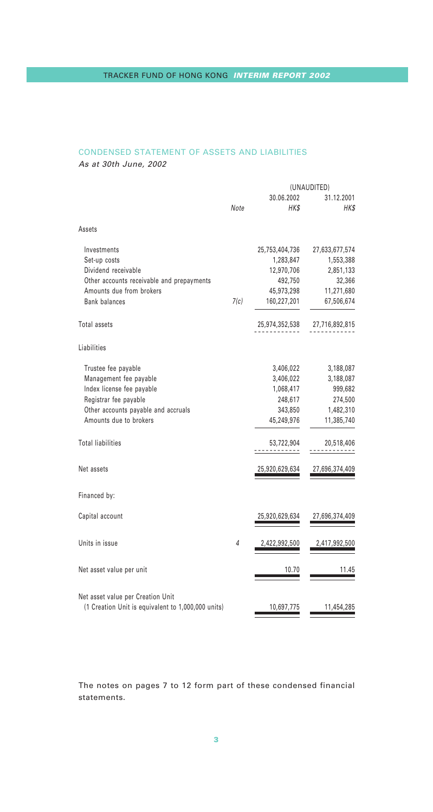# CONDENSED STATEMENT OF ASSETS AND LIABILITIES

As at 30th June, 2002

|                                                                                         |      |                    | (UNAUDITED)        |
|-----------------------------------------------------------------------------------------|------|--------------------|--------------------|
|                                                                                         | Note | 30.06.2002<br>HK\$ | 31.12.2001<br>HK\$ |
| Assets                                                                                  |      |                    |                    |
| Investments                                                                             |      | 25,753,404,736     | 27,633,677,574     |
| Set-up costs                                                                            |      | 1,283,847          | 1,553,388          |
| Dividend receivable                                                                     |      | 12,970,706         | 2,851,133          |
| Other accounts receivable and prepayments                                               |      | 492,750            | 32,366             |
| Amounts due from brokers                                                                |      | 45,973,298         | 11,271,680         |
| <b>Bank balances</b>                                                                    | 7(c) | 160,227,201        | 67,506,674         |
| Total assets                                                                            |      | 25,974,352,538     | 27,716,892,815     |
| Liabilities                                                                             |      |                    |                    |
| Trustee fee payable                                                                     |      | 3,406,022          | 3,188,087          |
| Management fee payable                                                                  |      | 3,406,022          | 3,188,087          |
| Index license fee payable                                                               |      | 1,068,417          | 999,682            |
| Registrar fee payable                                                                   |      | 248,617            | 274,500            |
| Other accounts payable and accruals                                                     |      | 343,850            | 1,482,310          |
| Amounts due to brokers                                                                  |      | 45,249,976         | 11,385,740         |
| <b>Total liabilities</b>                                                                |      | 53,722,904         | 20,518,406         |
| Net assets                                                                              |      | 25,920,629,634     | 27,696,374,409     |
| Financed by:                                                                            |      |                    |                    |
| Capital account                                                                         |      | 25,920,629,634     | 27,696,374,409     |
| Units in issue                                                                          | 4    | 2,422,992,500      | 2,417,992,500      |
| Net asset value per unit                                                                |      | 10.70              | 11.45              |
| Net asset value per Creation Unit<br>(1 Creation Unit is equivalent to 1,000,000 units) |      | 10,697,775         | 11,454,285         |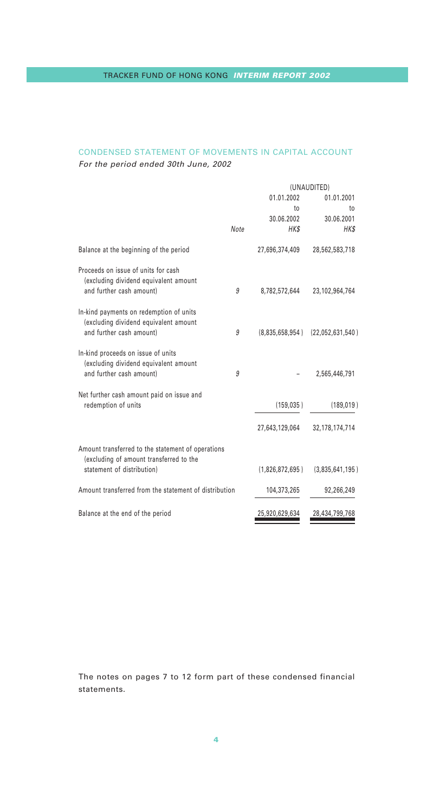# CONDENSED STATEMENT OF MOVEMENTS IN CAPITAL ACCOUNT For the period ended 30th June, 2002

|                                                                                              |      |                 | (UNAUDITED)       |
|----------------------------------------------------------------------------------------------|------|-----------------|-------------------|
|                                                                                              |      | 01.01.2002      | 01.01.2001        |
|                                                                                              |      | to              | to                |
|                                                                                              |      | 30.06.2002      | 30.06.2001        |
|                                                                                              | Note | HK\$            | HK\$              |
| Balance at the beginning of the period                                                       |      | 27,696,374,409  | 28,562,583,718    |
| Proceeds on issue of units for cash<br>(excluding dividend equivalent amount                 |      |                 |                   |
| and further cash amount)                                                                     | 9    | 8,782,572,644   | 23,102,964,764    |
| In-kind payments on redemption of units<br>(excluding dividend equivalent amount             |      |                 |                   |
| and further cash amount)                                                                     | 9    | (8,835,658,954) | (22,052,631,540)  |
| In-kind proceeds on issue of units<br>(excluding dividend equivalent amount                  |      |                 |                   |
| and further cash amount)                                                                     | 9    |                 | 2,565,446,791     |
| Net further cash amount paid on issue and                                                    |      |                 |                   |
| redemption of units                                                                          |      | (159.035)       | (189, 019)        |
|                                                                                              |      | 27,643,129,064  | 32, 178, 174, 714 |
| Amount transferred to the statement of operations<br>(excluding of amount transferred to the |      |                 |                   |
| statement of distribution)                                                                   |      | (1,826,872,695) | (3,835,641,195)   |
| Amount transferred from the statement of distribution                                        |      | 104,373,265     | 92,266,249        |
| Balance at the end of the period                                                             |      | 25,920,629,634  | 28,434,799,768    |
|                                                                                              |      |                 |                   |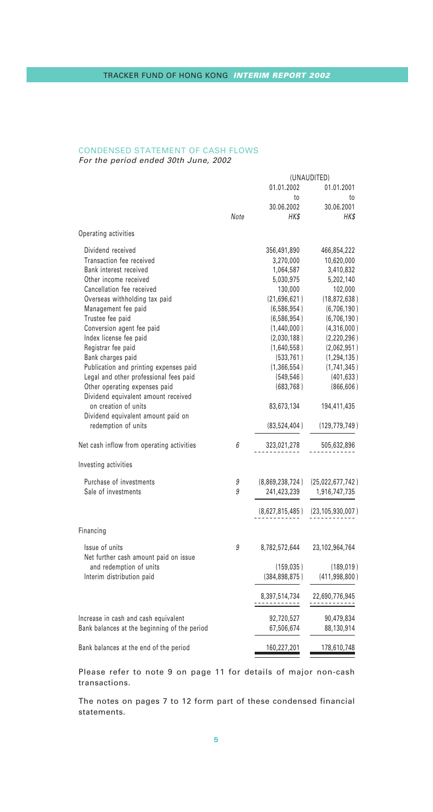#### CONDENSED STATEMENT OF CASH FLOWS For the period ended 30th June, 2002

|                                                         |      |                 | (UNAUDITED)                          |
|---------------------------------------------------------|------|-----------------|--------------------------------------|
|                                                         |      | 01.01.2002      | 01.01.2001                           |
|                                                         |      | to              | to                                   |
|                                                         |      | 30.06.2002      | 30.06.2001                           |
|                                                         | Note | HK\$            | HK\$                                 |
| Operating activities                                    |      |                 |                                      |
| Dividend received                                       |      | 356,491,890     | 466,854,222                          |
| Transaction fee received                                |      | 3,270,000       | 10,620,000                           |
| Bank interest received                                  |      | 1,064,587       | 3,410,832                            |
| Other income received                                   |      | 5,030,975       | 5,202,140                            |
| Cancellation fee received                               |      | 130,000         | 102,000                              |
| Overseas withholding tax paid                           |      | (21,696,621)    | (18, 872, 638)                       |
| Management fee paid                                     |      | (6,586,954)     | (6,706,190)                          |
|                                                         |      |                 |                                      |
| Trustee fee paid                                        |      | (6,586,954)     | (6,706,190)                          |
| Conversion agent fee paid                               |      | (1,440,000)     | (4,316,000)                          |
| Index license fee paid                                  |      | (2,030,188)     | (2,220,296)                          |
| Registrar fee paid                                      |      | (1,640,558)     | (2,062,951)                          |
| Bank charges paid                                       |      | (533, 761)      | (1, 294, 135)                        |
| Publication and printing expenses paid                  |      | (1,366,554)     | (1,741,345)                          |
| Legal and other professional fees paid                  |      | (549, 546)      | (401,633)                            |
| Other operating expenses paid                           |      | (683, 768)      | (866, 606)                           |
| Dividend equivalent amount received                     |      |                 |                                      |
| on creation of units                                    |      | 83,673,134      | 194,411,435                          |
| Dividend equivalent amount paid on                      |      |                 |                                      |
| redemption of units                                     |      | (83,524,404)    | (129, 779, 749)                      |
| Net cash inflow from operating activities               | 6    | 323,021,278     | 505,632,896                          |
| Investing activities                                    |      |                 |                                      |
| Purchase of investments                                 | 9    |                 | $(8,869,238,724)$ $(25,022,677,742)$ |
| Sale of investments                                     | 9    | 241,423,239     | 1,916,747,735                        |
|                                                         |      |                 |                                      |
|                                                         |      | (8,627,815,485) | (23, 105, 930, 007)                  |
| Financing                                               |      |                 |                                      |
| Issue of units<br>Net further cash amount paid on issue | 9    | 8,782,572,644   | 23,102,964,764                       |
| and redemption of units                                 |      | (159, 035)      | (189, 019)                           |
| Interim distribution paid                               |      | (384, 898, 875) | (411, 998, 800)                      |
|                                                         |      |                 |                                      |
|                                                         |      | 8,397,514,734   | 22,690,776,945                       |
|                                                         |      |                 |                                      |
| Increase in cash and cash equivalent                    |      | 92,720,527      | 90,479,834                           |
| Bank balances at the beginning of the period            |      | 67,506,674      | 88,130,914                           |
| Bank balances at the end of the period                  |      | 160,227,201     | 178,610,748                          |

Please refer to note 9 on page 11 for details of major non-cash transactions.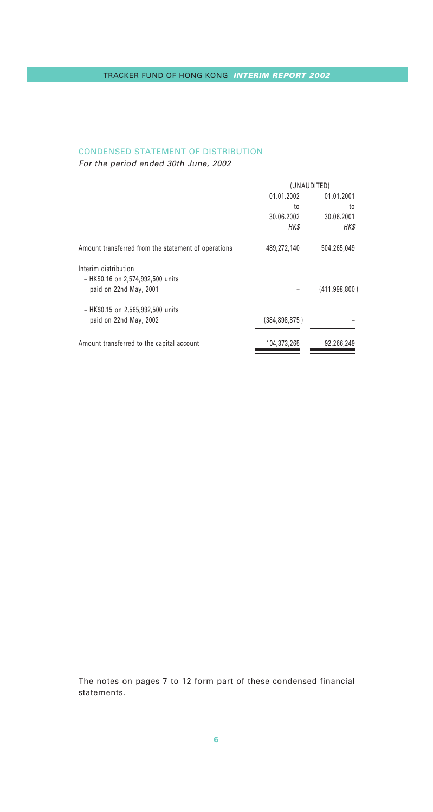# CONDENSED STATEMENT OF DISTRIBUTION

For the period ended 30th June, 2002

|                                                     | (UNAUDITED)   |                 |
|-----------------------------------------------------|---------------|-----------------|
|                                                     | 01.01.2002    | 01.01.2001      |
|                                                     | to            | to              |
|                                                     | 30.06.2002    | 30.06.2001      |
|                                                     | HK\$          | HK\$            |
| Amount transferred from the statement of operations | 489.272.140   | 504.265.049     |
| Interim distribution                                |               |                 |
| - HK\$0.16 on 2.574.992.500 units                   |               |                 |
| paid on 22nd May, 2001                              |               | (411, 998, 800) |
| - HK\$0.15 on 2,565,992,500 units                   |               |                 |
| paid on 22nd May, 2002                              | (384.898.875) |                 |
| Amount transferred to the capital account           | 104,373,265   | 92,266,249      |
|                                                     |               |                 |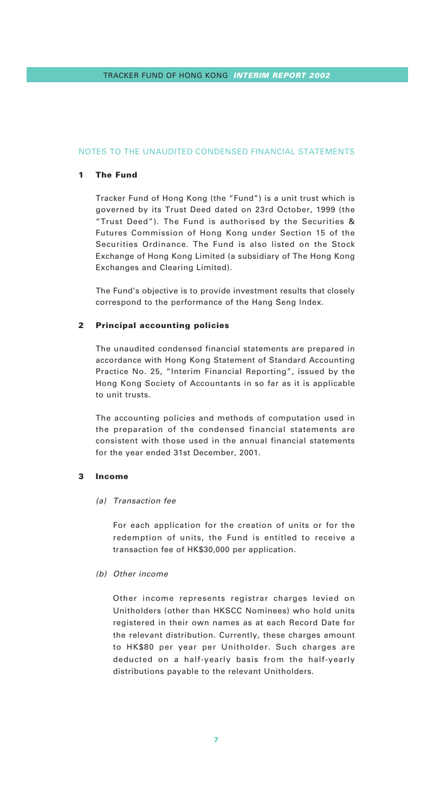## **1 The Fund**

Tracker Fund of Hong Kong (the "Fund") is a unit trust which is governed by its Trust Deed dated on 23rd October, 1999 (the "Trust Deed"). The Fund is authorised by the Securities & Futures Commission of Hong Kong under Section 15 of the Securities Ordinance. The Fund is also listed on the Stock Exchange of Hong Kong Limited (a subsidiary of The Hong Kong Exchanges and Clearing Limited).

The Fund's objective is to provide investment results that closely correspond to the performance of the Hang Seng Index.

#### **2 Principal accounting policies**

The unaudited condensed financial statements are prepared in accordance with Hong Kong Statement of Standard Accounting Practice No. 25, "Interim Financial Reporting", issued by the Hong Kong Society of Accountants in so far as it is applicable to unit trusts.

The accounting policies and methods of computation used in the preparation of the condensed financial statements are consistent with those used in the annual financial statements for the year ended 31st December, 2001.

#### **3 Income**

#### (a) Transaction fee

For each application for the creation of units or for the redemption of units, the Fund is entitled to receive a transaction fee of HK\$30,000 per application.

#### (b) Other income

Other income represents registrar charges levied on Unitholders (other than HKSCC Nominees) who hold units registered in their own names as at each Record Date for the relevant distribution. Currently, these charges amount to HK\$80 per year per Unitholder. Such charges are deducted on a half-yearly basis from the half-yearly distributions payable to the relevant Unitholders.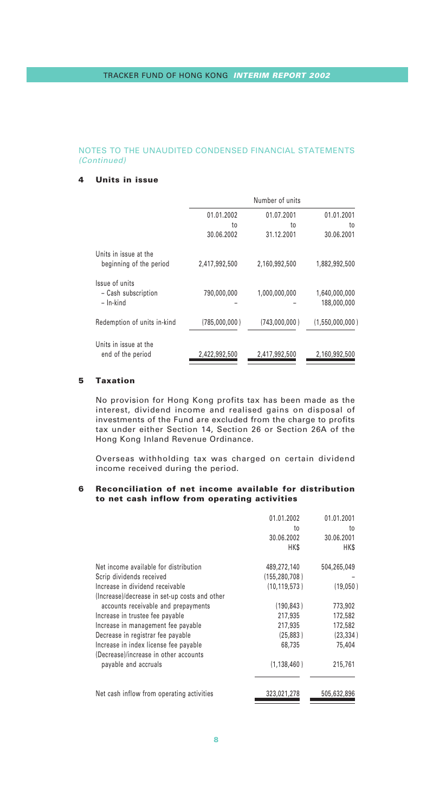## **4 Units in issue**

|                                            |                  | Number of units  |                  |
|--------------------------------------------|------------------|------------------|------------------|
|                                            | 01.01.2002       | 01.07.2001       | 01.01.2001       |
|                                            | to<br>30.06.2002 | to<br>31.12.2001 | to<br>30.06.2001 |
| Units in issue at the                      |                  |                  |                  |
| beginning of the period                    | 2,417,992,500    | 2,160,992,500    | 1,882,992,500    |
| Issue of units<br>- Cash subscription      | 790.000.000      | 1,000,000,000    | 1.640.000.000    |
| $-$ In-kind                                |                  |                  | 188,000,000      |
| Redemption of units in-kind                | (785,000,000)    | (743,000,000)    | (1,550,000,000)  |
| Units in issue at the<br>end of the period | 2,422,992,500    | 2,417,992,500    | 2,160,992,500    |
|                                            |                  |                  |                  |

# **5 Taxation**

No provision for Hong Kong profits tax has been made as the interest, dividend income and realised gains on disposal of investments of the Fund are excluded from the charge to profits tax under either Section 14, Section 26 or Section 26A of the Hong Kong Inland Revenue Ordinance.

Overseas withholding tax was charged on certain dividend income received during the period.

#### **6 Reconciliation of net income available for distribution to net cash inflow from operating activities**

|                                               | 01.01.2002<br>to<br>30.06.2002<br><b>HKS</b> | 01.01.2001<br>to<br>30.06.2001<br><b>HKS</b> |
|-----------------------------------------------|----------------------------------------------|----------------------------------------------|
| Net income available for distribution         | 489,272,140                                  | 504,265,049                                  |
| Scrip dividends received                      | (155.280.708)                                |                                              |
| Increase in dividend receivable               | (10, 119, 573)                               | (19,050)                                     |
| (Increase)/decrease in set-up costs and other |                                              |                                              |
| accounts receivable and prepayments           | (190.843)                                    | 773,902                                      |
| Increase in trustee fee payable               | 217,935                                      | 172,582                                      |
| Increase in management fee payable            | 217.935                                      | 172,582                                      |
| Decrease in registrar fee payable             | (25.883)                                     | (23, 334)                                    |
| Increase in index license fee payable         | 68.735                                       | 75.404                                       |
| (Decrease)/increase in other accounts         |                                              |                                              |
| payable and accruals                          | (1, 138, 460)                                | 215,761                                      |
|                                               |                                              |                                              |
| Net cash inflow from operating activities     | 323,021,278                                  | 505,632,896                                  |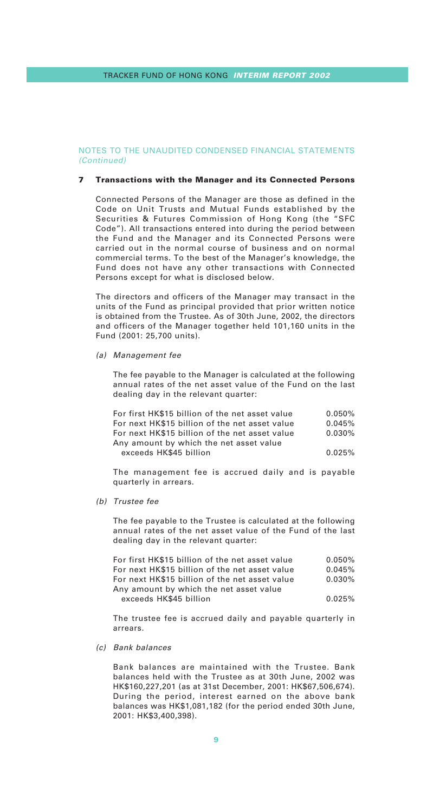#### **7 Transactions with the Manager and its Connected Persons**

Connected Persons of the Manager are those as defined in the Code on Unit Trusts and Mutual Funds established by the Securities & Futures Commission of Hong Kong (the "SFC Code"). All transactions entered into during the period between the Fund and the Manager and its Connected Persons were carried out in the normal course of business and on normal commercial terms. To the best of the Manager's knowledge, the Fund does not have any other transactions with Connected Persons except for what is disclosed below.

The directors and officers of the Manager may transact in the units of the Fund as principal provided that prior written notice is obtained from the Trustee. As of 30th June, 2002, the directors and officers of the Manager together held 101,160 units in the Fund (2001: 25,700 units).

(a) Management fee

The fee payable to the Manager is calculated at the following annual rates of the net asset value of the Fund on the last dealing day in the relevant quarter:

| For first HK\$15 billion of the net asset value | 0.050% |
|-------------------------------------------------|--------|
| For next HK\$15 billion of the net asset value  | 0.045% |
| For next HK\$15 billion of the net asset value  | 0.030% |
| Any amount by which the net asset value         |        |
| exceeds HK\$45 billion                          | 0.025% |

The management fee is accrued daily and is payable quarterly in arrears.

(b) Trustee fee

The fee payable to the Trustee is calculated at the following annual rates of the net asset value of the Fund of the last dealing day in the relevant quarter:

| For first HK\$15 billion of the net asset value | 0.050% |
|-------------------------------------------------|--------|
| For next HK\$15 billion of the net asset value  | 0.045% |
| For next HK\$15 billion of the net asset value  | 0.030% |
| Any amount by which the net asset value         |        |
| exceeds HK\$45 billion                          | 0.025% |

The trustee fee is accrued daily and payable quarterly in arrears.

#### (c) Bank balances

Bank balances are maintained with the Trustee. Bank balances held with the Trustee as at 30th June, 2002 was HK\$160,227,201 (as at 31st December, 2001: HK\$67,506,674). During the period, interest earned on the above bank balances was HK\$1,081,182 (for the period ended 30th June, 2001: HK\$3,400,398).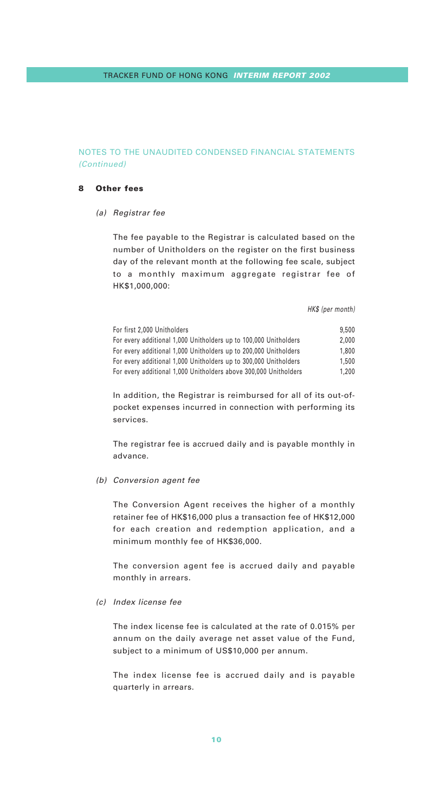#### **8 Other fees**

(a) Registrar fee

The fee payable to the Registrar is calculated based on the number of Unitholders on the register on the first business day of the relevant month at the following fee scale, subject to a monthly maximum aggregate registrar fee of HK\$1,000,000:

HK\$ (per month)

| For first 2.000 Unitholders                                      | 9.500 |
|------------------------------------------------------------------|-------|
| For every additional 1,000 Unitholders up to 100,000 Unitholders | 2.000 |
| For every additional 1,000 Unitholders up to 200,000 Unitholders | 1,800 |
| For every additional 1,000 Unitholders up to 300,000 Unitholders | 1,500 |
| For every additional 1,000 Unitholders above 300,000 Unitholders | 1.200 |

In addition, the Registrar is reimbursed for all of its out-ofpocket expenses incurred in connection with performing its services.

The registrar fee is accrued daily and is payable monthly in advance.

(b) Conversion agent fee

The Conversion Agent receives the higher of a monthly retainer fee of HK\$16,000 plus a transaction fee of HK\$12,000 for each creation and redemption application, and a minimum monthly fee of HK\$36,000.

The conversion agent fee is accrued daily and payable monthly in arrears.

(c) Index license fee

The index license fee is calculated at the rate of 0.015% per annum on the daily average net asset value of the Fund, subject to a minimum of US\$10,000 per annum.

The index license fee is accrued daily and is payable quarterly in arrears.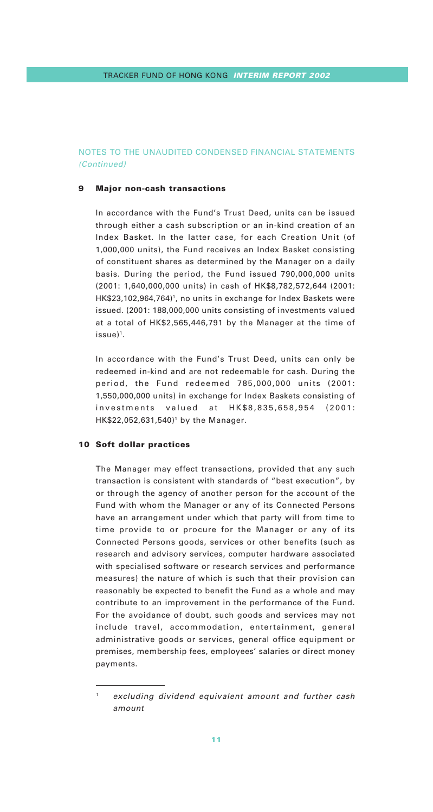#### **9 Major non-cash transactions**

In accordance with the Fund's Trust Deed, units can be issued through either a cash subscription or an in-kind creation of an Index Basket. In the latter case, for each Creation Unit (of 1,000,000 units), the Fund receives an Index Basket consisting of constituent shares as determined by the Manager on a daily basis. During the period, the Fund issued 790,000,000 units (2001: 1,640,000,000 units) in cash of HK\$8,782,572,644 (2001: HK\$23,102,964,764)<sup>1</sup>, no units in exchange for Index Baskets were issued. (2001: 188,000,000 units consisting of investments valued at a total of HK\$2,565,446,791 by the Manager at the time of issue)1.

In accordance with the Fund's Trust Deed, units can only be redeemed in-kind and are not redeemable for cash. During the period, the Fund redeemed 785,000,000 units (2001: 1,550,000,000 units) in exchange for Index Baskets consisting of investments valued at HK\$8,835,658,954 (2001: HK\$22,052,631,540)<sup>1</sup> by the Manager.

#### **10 Soft dollar practices**

The Manager may effect transactions, provided that any such transaction is consistent with standards of "best execution", by or through the agency of another person for the account of the Fund with whom the Manager or any of its Connected Persons have an arrangement under which that party will from time to time provide to or procure for the Manager or any of its Connected Persons goods, services or other benefits (such as research and advisory services, computer hardware associated with specialised software or research services and performance measures) the nature of which is such that their provision can reasonably be expected to benefit the Fund as a whole and may contribute to an improvement in the performance of the Fund. For the avoidance of doubt, such goods and services may not include travel, accommodation, entertainment, general administrative goods or services, general office equipment or premises, membership fees, employees' salaries or direct money payments.

excluding dividend equivalent amount and further cash amount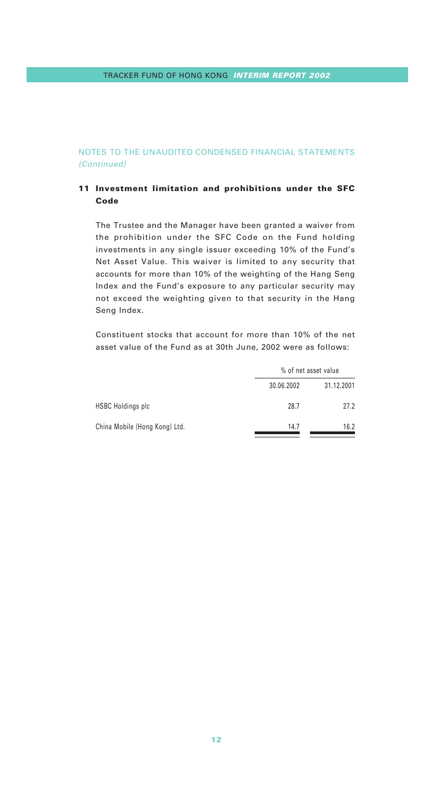# **11 Investment limitation and prohibitions under the SFC Code**

The Trustee and the Manager have been granted a waiver from the prohibition under the SFC Code on the Fund holding investments in any single issuer exceeding 10% of the Fund's Net Asset Value. This waiver is limited to any security that accounts for more than 10% of the weighting of the Hang Seng Index and the Fund's exposure to any particular security may not exceed the weighting given to that security in the Hang Seng Index.

Constituent stocks that account for more than 10% of the net asset value of the Fund as at 30th June, 2002 were as follows:

|                               |            | % of net asset value |  |  |
|-------------------------------|------------|----------------------|--|--|
|                               | 30.06.2002 | 31.12.2001           |  |  |
| <b>HSBC Holdings plc</b>      | 28.7       | 27.2                 |  |  |
| China Mobile (Hong Kong) Ltd. | 14.7       | 16.2                 |  |  |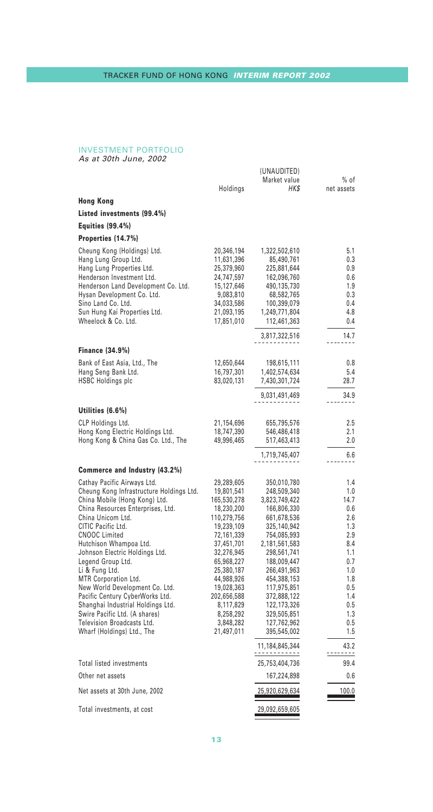# INVESTMENT PORTFOLIO As at 30th June, 2002

|                                                                      | Holdings                  | (UNAUDITED)<br>Market value<br>HKS    | $%$ of<br>net assets |
|----------------------------------------------------------------------|---------------------------|---------------------------------------|----------------------|
| Hong Kong                                                            |                           |                                       |                      |
| Listed investments (99.4%)                                           |                           |                                       |                      |
| <b>Equities (99.4%)</b>                                              |                           |                                       |                      |
| Properties (14.7%)                                                   |                           |                                       |                      |
| Cheung Kong (Holdings) Ltd.                                          | 20,346,194                | 1,322,502,610                         | 5.1                  |
| Hang Lung Group Ltd.                                                 | 11,631,396                | 85,490,761                            | 0.3                  |
| Hang Lung Properties Ltd.                                            | 25,379,960                | 225,881,644                           | 0.9                  |
| Henderson Investment Ltd.                                            | 24,747,597                | 162,096,760                           | 0.6                  |
| Henderson Land Development Co. Ltd.<br>Hysan Development Co. Ltd.    | 15,127,646<br>9,083,810   | 490,135,730<br>68,582,765             | 1.9<br>0.3           |
| Sino Land Co. Ltd.                                                   | 34,033,586                | 100,399,079                           | 0.4                  |
| Sun Hung Kai Properties Ltd.                                         | 21,093,195                | 1,249,771,804                         | 4.8                  |
| Wheelock & Co. Ltd.                                                  | 17,851,010                | 112,461,363                           | 0.4                  |
|                                                                      |                           | 3,817,322,516                         | 14.7                 |
| Finance (34.9%)                                                      |                           |                                       |                      |
| Bank of East Asia, Ltd., The                                         | 12,650,644                | 198,615,111                           | 0.8                  |
| Hang Seng Bank Ltd.<br>HSBC Holdings plc                             | 16,797,301<br>83,020,131  | 1,402,574,634<br>7,430,301,724        | 5.4<br>28.7          |
|                                                                      |                           | 9,031,491,469                         | 34.9                 |
| Utilities (6.6%)                                                     |                           |                                       |                      |
| CLP Holdings Ltd.                                                    | 21,154,696                | 655,795,576                           | 2.5                  |
| Hong Kong Electric Holdings Ltd.                                     | 18,747,390                | 546,486,418                           | 2.1                  |
| Hong Kong & China Gas Co. Ltd., The                                  | 49,996,465                | 517,463,413                           | 2.0                  |
|                                                                      |                           | 1,719,745,407                         | 6.6<br>.             |
| Commerce and Industry (43.2%)                                        |                           |                                       |                      |
| Cathay Pacific Airways Ltd.                                          | 29,289,605                | 350,010,780                           | 1.4                  |
| Cheung Kong Infrastructure Holdings Ltd.                             | 19,801,541                | 248,509,340                           | 1.0                  |
| China Mobile (Hong Kong) Ltd.                                        | 165,530,278               | 3,823,749,422                         | 14.7<br>0.6          |
| China Resources Enterprises, Ltd.<br>China Unicom Ltd.               | 18,230,200<br>110,279,756 | 166,806,330<br>661,678,536            | 2.6                  |
| CITIC Pacific Ltd.                                                   | 19,239,109                | 325,140,942                           | 1.3                  |
| <b>CNOOC Limited</b>                                                 | 72,161,339                | 754,085,993                           | 2.9                  |
| Hutchison Whampoa Ltd.                                               | 37,451,701                | 2,181,561,583                         | 8.4                  |
| Johnson Electric Holdings Ltd.<br>Legend Group Ltd.                  | 32,276,945<br>65,968,227  | 298,561,741<br>188,009,447            | 1.1<br>0.7           |
| Li & Fung Ltd.                                                       | 25,380,187                | 266,491,963                           | 1.0                  |
| MTR Corporation Ltd.                                                 | 44,988,926                | 454,388,153                           | 1.8                  |
| New World Development Co. Ltd.                                       | 19,028,363                | 117,975,851                           | 0.5                  |
| Pacific Century CyberWorks Ltd.<br>Shanghai Industrial Holdings Ltd. | 202,656,588               | 372,888,122                           | 1.4<br>0.5           |
| Swire Pacific Ltd. (A shares)                                        | 8,117,829<br>8,258,292    | 122,173,326<br>329,505,851            | 1.3                  |
| Television Broadcasts Ltd.                                           | 3,848,282                 | 127,762,962                           | 0.5                  |
| Wharf (Holdings) Ltd., The                                           | 21,497,011                | 395,545,002                           | 1.5                  |
|                                                                      |                           | 11,184,845,344<br><u> -----------</u> | 43.2<br><u>.</u>     |
| Total listed investments                                             |                           | 25,753,404,736                        | 99.4                 |
| Other net assets                                                     |                           | 167,224,898                           | 0.6                  |
| Net assets at 30th June, 2002                                        |                           | 25,920,629,634                        | 100.0                |
| Total investments, at cost                                           |                           | 29,092,659,605                        |                      |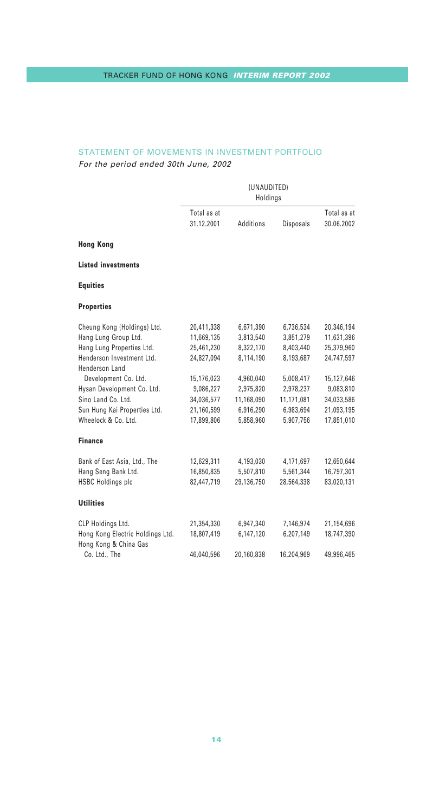# STATEMENT OF MOVEMENTS IN INVESTMENT PORTFOLIO

For the period ended 30th June, 2002

|                                                           | (UNAUDITED)<br>Holdings |            |                  |             |
|-----------------------------------------------------------|-------------------------|------------|------------------|-------------|
|                                                           | Total as at             |            |                  | Total as at |
|                                                           | 31.12.2001              | Additions  | <b>Disposals</b> | 30.06.2002  |
| <b>Hong Kong</b>                                          |                         |            |                  |             |
| <b>Listed investments</b>                                 |                         |            |                  |             |
| <b>Equities</b>                                           |                         |            |                  |             |
| <b>Properties</b>                                         |                         |            |                  |             |
| Cheung Kong (Holdings) Ltd.                               | 20,411,338              | 6,671,390  | 6,736,534        | 20,346,194  |
| Hang Lung Group Ltd.                                      | 11,669,135              | 3,813,540  | 3,851,279        | 11,631,396  |
| Hang Lung Properties Ltd.                                 | 25,461,230              | 8,322,170  | 8,403,440        | 25,379,960  |
| Henderson Investment Ltd.<br>Henderson Land               | 24,827,094              | 8,114,190  | 8,193,687        | 24,747,597  |
| Development Co. Ltd.                                      | 15,176,023              | 4,960,040  | 5,008,417        | 15,127,646  |
| Hysan Development Co. Ltd.                                | 9,086,227               | 2,975,820  | 2,978,237        | 9,083,810   |
| Sino Land Co. Ltd.                                        | 34,036,577              | 11,168,090 | 11,171,081       | 34,033,586  |
| Sun Hung Kai Properties Ltd.                              | 21,160,599              | 6,916,290  | 6,983,694        | 21,093,195  |
| Wheelock & Co. Ltd.                                       | 17,899,806              | 5,858,960  | 5,907,756        | 17,851,010  |
| <b>Finance</b>                                            |                         |            |                  |             |
| Bank of East Asia, Ltd., The                              | 12,629,311              | 4,193,030  | 4,171,697        | 12,650,644  |
| Hang Seng Bank Ltd.                                       | 16,850,835              | 5,507,810  | 5,561,344        | 16,797,301  |
| <b>HSBC Holdings plc</b>                                  | 82,447,719              | 29,136,750 | 28,564,338       | 83,020,131  |
| <b>Utilities</b>                                          |                         |            |                  |             |
| CLP Holdings Ltd.                                         | 21,354,330              | 6,947,340  | 7,146,974        | 21,154,696  |
| Hong Kong Electric Holdings Ltd.<br>Hong Kong & China Gas | 18,807,419              | 6,147,120  | 6.207.149        | 18,747,390  |
| Co. Ltd., The                                             | 46,040,596              | 20,160,838 | 16,204,969       | 49,996,465  |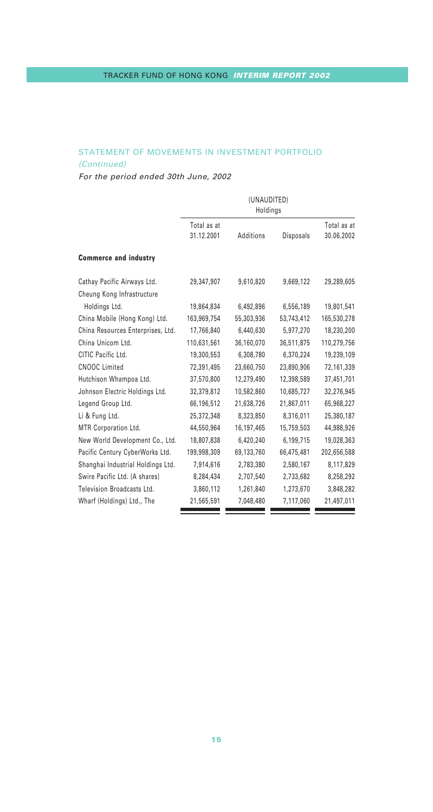# STATEMENT OF MOVEMENTS IN INVESTMENT PORTFOLIO (Continued)

For the period ended 30th June, 2002

| Total as at<br>31.12.2001<br>Additions<br><b>Disposals</b><br><b>Commerce and industry</b><br>Cathay Pacific Airways Ltd.<br>29,347,907<br>9,610,820<br>9,669,122<br>Cheung Kong Infrastructure<br>Holdings Ltd.<br>19,864,834<br>6,492,896<br>6,556,189<br>China Mobile (Hong Kong) Ltd.<br>53,743,412<br>163,969,754<br>55,303,936<br>China Resources Enterprises, Ltd.<br>17,766,840<br>6,440,630<br>5,977,270<br>China Unicom Ltd.<br>110,631,561<br>36,160,070<br>36,511,875<br>CITIC Pacific Ltd.<br>19,300,553<br>6,308,780<br>6,370,224<br><b>CNOOC Limited</b><br>72,391,495<br>23.660.750<br>23,890,906<br>Hutchison Whampoa Ltd.<br>37,570,800<br>12,279,490<br>12,398,589<br>Johnson Electric Holdings Ltd.<br>32,379,812<br>10.582.860<br>10,685,727<br>Legend Group Ltd.<br>66,196,512<br>21,638,726<br>21.867.011<br>Li & Fung Ltd.<br>25,372,348<br>8,323,850<br>8,316,011<br>MTR Corporation Ltd.<br>44,550,964<br>16,197,465<br>15,759,503<br>New World Development Co., Ltd.<br>18.807.838<br>6.420.240<br>6,199,715<br>Pacific Century CyberWorks Ltd.<br>199,998,309<br>69,133,760<br>66,475,481<br>Shanghai Industrial Holdings Ltd.<br>7,914,616<br>2,783,380<br>2,580,167<br>Swire Pacific Ltd. (A shares)<br>8,284,434<br>2,707,540<br>2,733,682<br>Television Broadcasts Ltd.<br>3,860,112<br>1,261,840<br>1,273,670<br>Wharf (Holdings) Ltd., The<br>21,565,591<br>7.048.480<br>7,117,060 | (UNAUDITED)<br>Holdings |  |  |                           |
|----------------------------------------------------------------------------------------------------------------------------------------------------------------------------------------------------------------------------------------------------------------------------------------------------------------------------------------------------------------------------------------------------------------------------------------------------------------------------------------------------------------------------------------------------------------------------------------------------------------------------------------------------------------------------------------------------------------------------------------------------------------------------------------------------------------------------------------------------------------------------------------------------------------------------------------------------------------------------------------------------------------------------------------------------------------------------------------------------------------------------------------------------------------------------------------------------------------------------------------------------------------------------------------------------------------------------------------------------------------------------------------------------------------------|-------------------------|--|--|---------------------------|
|                                                                                                                                                                                                                                                                                                                                                                                                                                                                                                                                                                                                                                                                                                                                                                                                                                                                                                                                                                                                                                                                                                                                                                                                                                                                                                                                                                                                                      |                         |  |  | Total as at<br>30.06.2002 |
|                                                                                                                                                                                                                                                                                                                                                                                                                                                                                                                                                                                                                                                                                                                                                                                                                                                                                                                                                                                                                                                                                                                                                                                                                                                                                                                                                                                                                      |                         |  |  |                           |
|                                                                                                                                                                                                                                                                                                                                                                                                                                                                                                                                                                                                                                                                                                                                                                                                                                                                                                                                                                                                                                                                                                                                                                                                                                                                                                                                                                                                                      |                         |  |  | 29,289,605                |
|                                                                                                                                                                                                                                                                                                                                                                                                                                                                                                                                                                                                                                                                                                                                                                                                                                                                                                                                                                                                                                                                                                                                                                                                                                                                                                                                                                                                                      |                         |  |  |                           |
|                                                                                                                                                                                                                                                                                                                                                                                                                                                                                                                                                                                                                                                                                                                                                                                                                                                                                                                                                                                                                                                                                                                                                                                                                                                                                                                                                                                                                      |                         |  |  | 19,801,541                |
|                                                                                                                                                                                                                                                                                                                                                                                                                                                                                                                                                                                                                                                                                                                                                                                                                                                                                                                                                                                                                                                                                                                                                                                                                                                                                                                                                                                                                      |                         |  |  | 165,530,278               |
|                                                                                                                                                                                                                                                                                                                                                                                                                                                                                                                                                                                                                                                                                                                                                                                                                                                                                                                                                                                                                                                                                                                                                                                                                                                                                                                                                                                                                      |                         |  |  | 18,230,200                |
|                                                                                                                                                                                                                                                                                                                                                                                                                                                                                                                                                                                                                                                                                                                                                                                                                                                                                                                                                                                                                                                                                                                                                                                                                                                                                                                                                                                                                      |                         |  |  | 110,279,756               |
|                                                                                                                                                                                                                                                                                                                                                                                                                                                                                                                                                                                                                                                                                                                                                                                                                                                                                                                                                                                                                                                                                                                                                                                                                                                                                                                                                                                                                      |                         |  |  | 19,239,109                |
|                                                                                                                                                                                                                                                                                                                                                                                                                                                                                                                                                                                                                                                                                                                                                                                                                                                                                                                                                                                                                                                                                                                                                                                                                                                                                                                                                                                                                      |                         |  |  | 72,161,339                |
|                                                                                                                                                                                                                                                                                                                                                                                                                                                                                                                                                                                                                                                                                                                                                                                                                                                                                                                                                                                                                                                                                                                                                                                                                                                                                                                                                                                                                      |                         |  |  | 37,451,701                |
|                                                                                                                                                                                                                                                                                                                                                                                                                                                                                                                                                                                                                                                                                                                                                                                                                                                                                                                                                                                                                                                                                                                                                                                                                                                                                                                                                                                                                      |                         |  |  | 32,276,945                |
|                                                                                                                                                                                                                                                                                                                                                                                                                                                                                                                                                                                                                                                                                                                                                                                                                                                                                                                                                                                                                                                                                                                                                                                                                                                                                                                                                                                                                      |                         |  |  | 65,968,227                |
|                                                                                                                                                                                                                                                                                                                                                                                                                                                                                                                                                                                                                                                                                                                                                                                                                                                                                                                                                                                                                                                                                                                                                                                                                                                                                                                                                                                                                      |                         |  |  | 25,380,187                |
|                                                                                                                                                                                                                                                                                                                                                                                                                                                                                                                                                                                                                                                                                                                                                                                                                                                                                                                                                                                                                                                                                                                                                                                                                                                                                                                                                                                                                      |                         |  |  | 44,988,926                |
|                                                                                                                                                                                                                                                                                                                                                                                                                                                                                                                                                                                                                                                                                                                                                                                                                                                                                                                                                                                                                                                                                                                                                                                                                                                                                                                                                                                                                      |                         |  |  | 19,028,363                |
|                                                                                                                                                                                                                                                                                                                                                                                                                                                                                                                                                                                                                                                                                                                                                                                                                                                                                                                                                                                                                                                                                                                                                                                                                                                                                                                                                                                                                      |                         |  |  | 202,656,588               |
|                                                                                                                                                                                                                                                                                                                                                                                                                                                                                                                                                                                                                                                                                                                                                                                                                                                                                                                                                                                                                                                                                                                                                                                                                                                                                                                                                                                                                      |                         |  |  | 8,117,829                 |
|                                                                                                                                                                                                                                                                                                                                                                                                                                                                                                                                                                                                                                                                                                                                                                                                                                                                                                                                                                                                                                                                                                                                                                                                                                                                                                                                                                                                                      |                         |  |  | 8,258,292                 |
|                                                                                                                                                                                                                                                                                                                                                                                                                                                                                                                                                                                                                                                                                                                                                                                                                                                                                                                                                                                                                                                                                                                                                                                                                                                                                                                                                                                                                      |                         |  |  | 3,848,282                 |
|                                                                                                                                                                                                                                                                                                                                                                                                                                                                                                                                                                                                                                                                                                                                                                                                                                                                                                                                                                                                                                                                                                                                                                                                                                                                                                                                                                                                                      |                         |  |  | 21,497,011                |